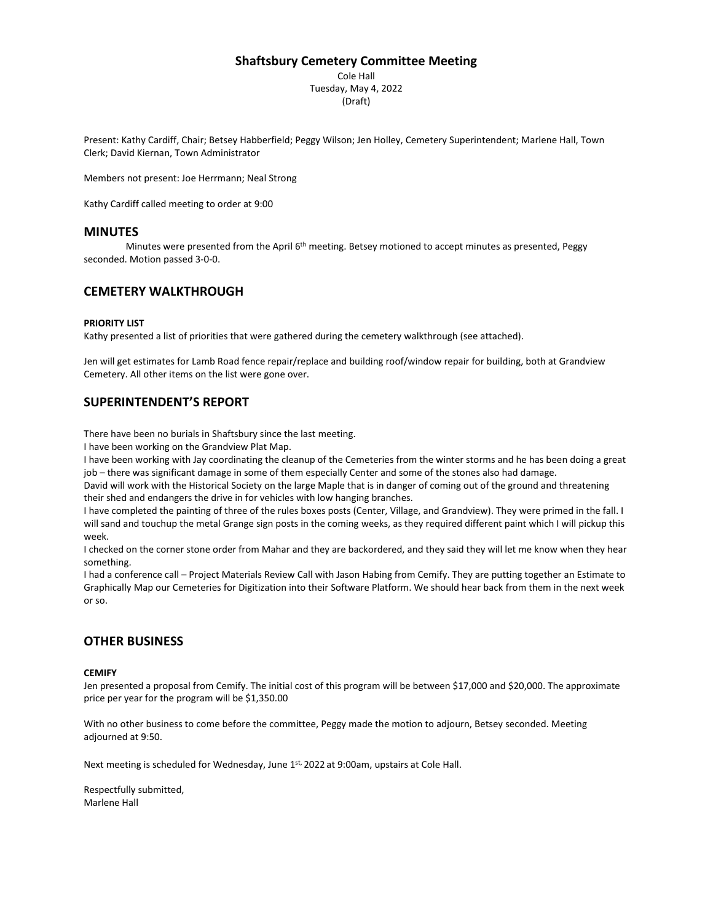### **Shaftsbury Cemetery Committee Meeting**

Cole Hall Tuesday, May 4, 2022 (Draft)

Present: Kathy Cardiff, Chair; Betsey Habberfield; Peggy Wilson; Jen Holley, Cemetery Superintendent; Marlene Hall, Town Clerk; David Kiernan, Town Administrator

Members not present: Joe Herrmann; Neal Strong

Kathy Cardiff called meeting to order at 9:00

#### **MINUTES**

Minutes were presented from the April 6<sup>th</sup> meeting. Betsey motioned to accept minutes as presented, Peggy seconded. Motion passed 3-0-0.

## **CEMETERY WALKTHROUGH**

#### **PRIORITY LIST**

Kathy presented a list of priorities that were gathered during the cemetery walkthrough (see attached).

Jen will get estimates for Lamb Road fence repair/replace and building roof/window repair for building, both at Grandview Cemetery. All other items on the list were gone over.

## **SUPERINTENDENT'S REPORT**

There have been no burials in Shaftsbury since the last meeting.

I have been working on the Grandview Plat Map.

I have been working with Jay coordinating the cleanup of the Cemeteries from the winter storms and he has been doing a great job – there was significant damage in some of them especially Center and some of the stones also had damage.

David will work with the Historical Society on the large Maple that is in danger of coming out of the ground and threatening their shed and endangers the drive in for vehicles with low hanging branches.

I have completed the painting of three of the rules boxes posts (Center, Village, and Grandview). They were primed in the fall. I will sand and touchup the metal Grange sign posts in the coming weeks, as they required different paint which I will pickup this week.

I checked on the corner stone order from Mahar and they are backordered, and they said they will let me know when they hear something.

I had a conference call – Project Materials Review Call with Jason Habing from Cemify. They are putting together an Estimate to Graphically Map our Cemeteries for Digitization into their Software Platform. We should hear back from them in the next week or so.

### **OTHER BUSINESS**

#### **CEMIFY**

Jen presented a proposal from Cemify. The initial cost of this program will be between \$17,000 and \$20,000. The approximate price per year for the program will be \$1,350.00

With no other business to come before the committee, Peggy made the motion to adjourn, Betsey seconded. Meeting adjourned at 9:50.

Next meeting is scheduled for Wednesday, June 1st, 2022 at 9:00am, upstairs at Cole Hall.

Respectfully submitted, Marlene Hall